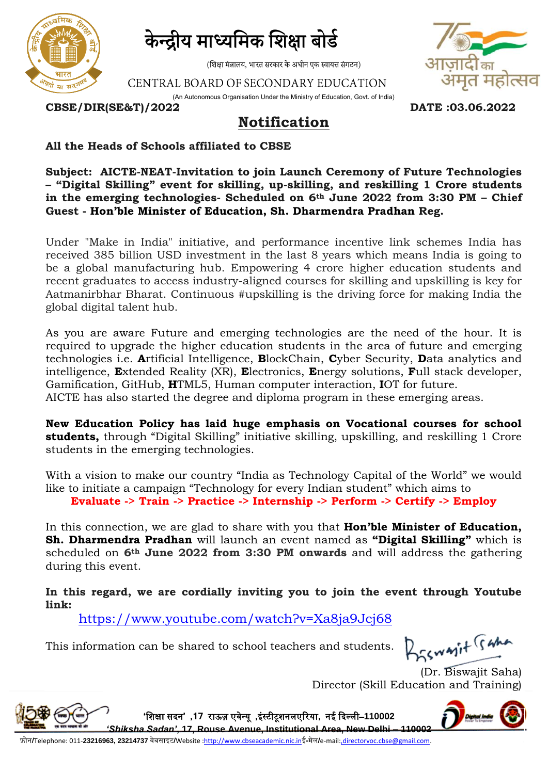

केन्द्रीय माध्यमिक शिक्षा बोर्ड

(शिक्षा मंत्रालय, भारत सरकार के अधीन एक स्वायत्त संगठन)

CENTRAL BOARD OF SECONDARY EDUCATION





**CBSE/DIR(SE&T)/2022 DATE :03.06.2022**

## **Notification**

## **All the Heads of Schools affiliated to CBSE**

**Subject: AICTE-NEAT-Invitation to join Launch Ceremony of Future Technologies – "Digital Skilling" event for skilling, up-skilling, and reskilling 1 Crore students in the emerging technologies- Scheduled on 6th June 2022 from 3:30 PM – Chief Guest - Hon'ble Minister of Education, Sh. Dharmendra Pradhan Reg.** 

Under "Make in India" initiative, and performance incentive link schemes India has received 385 billion USD investment in the last 8 years which means India is going to be a global manufacturing hub. Empowering 4 crore higher education students and recent graduates to access industry-aligned courses for skilling and upskilling is key for Aatmanirbhar Bharat. Continuous #upskilling is the driving force for making India the global digital talent hub.

As you are aware Future and emerging technologies are the need of the hour. It is required to upgrade the higher education students in the area of future and emerging technologies i.e. **A**rtificial Intelligence, **B**lockChain, **C**yber Security, **D**ata analytics and intelligence, **E**xtended Reality (XR), **E**lectronics, **E**nergy solutions, **F**ull stack developer, Gamification, GitHub, **H**TML5, Human computer interaction, **I**OT for future. AICTE has also started the degree and diploma program in these emerging areas.

**New Education Policy has laid huge emphasis on Vocational courses for school students,** through "Digital Skilling" initiative skilling, upskilling, and reskilling 1 Crore students in the emerging technologies.

With a vision to make our country "India as Technology Capital of the World" we would like to initiate a campaign "Technology for every Indian student" which aims to **Evaluate -> Train -> Practice -> Internship -> Perform -> Certify -> Employ**

In this connection, we are glad to share with you that **Hon'ble Minister of Education, Sh. Dharmendra Pradhan** will launch an event named as **"Digital Skilling"** which is scheduled on **6th June 2022 from 3:30 PM onwards** and will address the gathering during this event.

**In this regard, we are cordially inviting you to join the event through Youtube link:**

**'**शिक्षा सदन**' ,17** राऊज़ एवेन्यू **,**इंस्टीटूिनलएररया**,** नई ददल्ली–**110002** 

<https://www.youtube.com/watch?v=Xa8ja9Jcj68>

This information can be shared to school teachers and students.

Brawnit Sama

(Dr. Biswajit Saha) Director (Skill Education and Training)



*'Shiksha Sadan'***, 17, Rouse Avenue, Institutional Area, New Delhi – 110002** फ़ोन**/**Telephone: 011-**23216963, 23214737** वेबसाइट**/**Website [:http://www.cbseacademic.nic.in](http://www.cbseacademic.nic.in/)ई**-**मेल**/**e-mail[:,directorvoc.cbse@gmail.com.](mailto:directorvoc.cbse@gmail.com)